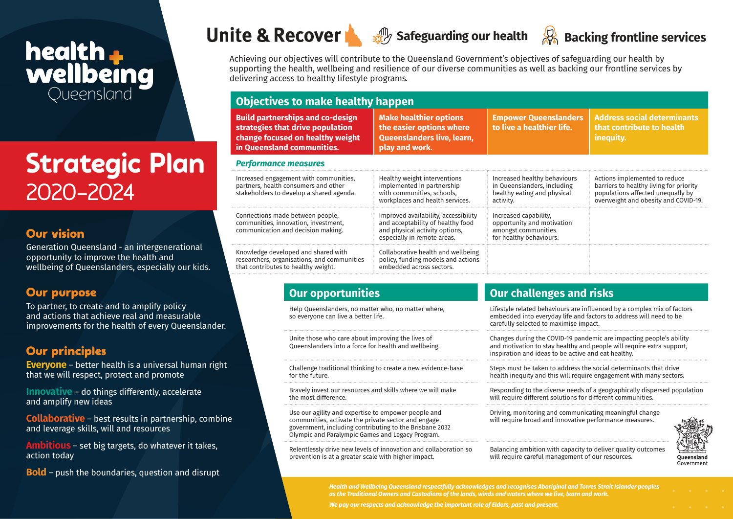### Our vision

Generation Queensland - an intergenerational opportunity to improve the health and wellbeing of Queenslanders, especially our kids.

### Our purpose

To partner, to create and to amplify policy and actions that achieve real and measurable improvements for the health of every Queenslander.

**Innovative** – do things differently, accelerate and amplify new ideas

### Our principles

**Everyone** – better health is a universal human right that we will respect, protect and promote

**Collaborative** – best results in partnership, combine and leverage skills, will and resources

**Ambitious** – set big targets, do whatever it takes, action today

**Bold** – push the boundaries, question and disrupt

# Unite & Recover



## health. wellbeing Queensland

# **Strategic Plan** 2020–2024

| <b>Our opportunities</b>                                                                                                                                                                                                  | <b>Our challeng</b>                                                        |
|---------------------------------------------------------------------------------------------------------------------------------------------------------------------------------------------------------------------------|----------------------------------------------------------------------------|
| Help Queenslanders, no matter who, no matter where,<br>so everyone can live a better life.                                                                                                                                | Lifestyle related behav<br>embedded into everyd<br>carefully selected to m |
| Unite those who care about improving the lives of<br>Queenslanders into a force for health and wellbeing.                                                                                                                 | Changes during the CO<br>and motivation to stay<br>inspiration and ideas t |
| Challenge traditional thinking to create a new evidence-base<br>for the future.                                                                                                                                           | Steps must be taken to<br>health inequity and thi                          |
| Bravely invest our resources and skills where we will make<br>the most difference.                                                                                                                                        | Responding to the dive<br>will require different so                        |
| Use our agility and expertise to empower people and<br>communities, activate the private sector and engage<br>government, including contributing to the Brisbane 2032<br>Olympic and Paralympic Games and Legacy Program. | Driving, monitoring an<br>will require broad and                           |
| Relentlessly drive new levels of innovation and collaboration so<br>prevention is at a greater scale with higher impact.                                                                                                  | Balancing ambition wit<br>will require careful ma                          |

### **Objectives to make healthy happen**

| slanders<br>r life.           | <b>Address social determinants</b><br>that contribute to health<br>inequity.                                                                          |
|-------------------------------|-------------------------------------------------------------------------------------------------------------------------------------------------------|
|                               |                                                                                                                                                       |
| าaviours<br>luding<br>ıysical | Actions implemented to reduce<br>barriers to healthy living for priority<br>populations affected unequally by<br>overweight and obesity and COVID-19. |
| vation<br>s<br>Ś.             |                                                                                                                                                       |
|                               |                                                                                                                                                       |

### **<u>es and risks</u>**

 $\kappa$ iours are influenced by a complex mix of factors lay life and factors to address will need to be aximise impact.

VID-19 pandemic are impacting people's ability healthy and people will require extra support, to be active and eat healthy.

o address the social determinants that drive is will require engagement with many sectors.

erse needs of a geographically dispersed population olutions for different communities.

d communicating meaningful change innovative performance measures.



th capacity to deliver quality outcomes anagement of our resources.

| <b>Make healthier options</b><br>the easier options where<br><b>Queenslanders live, learn,</b><br>play and work.                           | <b>Empower Queenslanders</b><br>to live a healthier life.                                               |
|--------------------------------------------------------------------------------------------------------------------------------------------|---------------------------------------------------------------------------------------------------------|
|                                                                                                                                            |                                                                                                         |
| Healthy weight interventions<br>implemented in partnership<br>with communities, schools,<br>workplaces and health services.                | Increased healthy behaviours<br>in Queenslanders, including<br>healthy eating and physical<br>activity. |
| Improved availability, accessibility<br>and acceptability of healthy food<br>and physical activity options,<br>especially in remote areas. | Increased capability,<br>opportunity and motivation<br>amongst communities<br>for healthy behaviours.   |
| Collaborative health and wellbeing<br>policy, funding models and actions<br>embedded across sectors.                                       |                                                                                                         |
|                                                                                                                                            |                                                                                                         |

*Health and Wellbeing Queensland respectfully acknowledges and recognises Aboriginal and Torres Strait Islander peoples as the Traditional Owners and Custodians of the lands, winds and waters where we live, learn and work.*

*We pay our respects and acknowledge the important role of Elders, past and present.*

Achieving our objectives will contribute to the Queensland Government's objectives of safeguarding our health by supporting the health, wellbeing and resilience of our diverse communities as well as backing our frontline services by delivering access to healthy lifestyle programs.